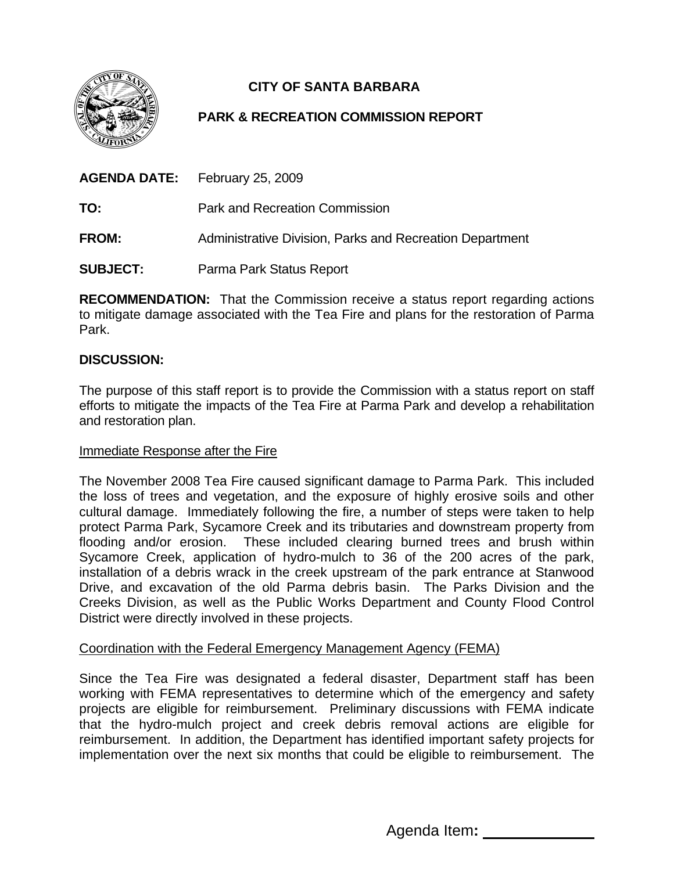

# **CITY OF SANTA BARBARA**

## **PARK & RECREATION COMMISSION REPORT**

|                 | <b>AGENDA DATE:</b> February 25, 2009                    |
|-----------------|----------------------------------------------------------|
| TO:             | <b>Park and Recreation Commission</b>                    |
| <b>FROM:</b>    | Administrative Division, Parks and Recreation Department |
| <b>SUBJECT:</b> | Parma Park Status Report                                 |

**RECOMMENDATION:** That the Commission receive a status report regarding actions to mitigate damage associated with the Tea Fire and plans for the restoration of Parma Park.

## **DISCUSSION:**

The purpose of this staff report is to provide the Commission with a status report on staff efforts to mitigate the impacts of the Tea Fire at Parma Park and develop a rehabilitation and restoration plan.

#### Immediate Response after the Fire

The November 2008 Tea Fire caused significant damage to Parma Park. This included the loss of trees and vegetation, and the exposure of highly erosive soils and other cultural damage. Immediately following the fire, a number of steps were taken to help protect Parma Park, Sycamore Creek and its tributaries and downstream property from flooding and/or erosion. These included clearing burned trees and brush within Sycamore Creek, application of hydro-mulch to 36 of the 200 acres of the park, installation of a debris wrack in the creek upstream of the park entrance at Stanwood Drive, and excavation of the old Parma debris basin. The Parks Division and the Creeks Division, as well as the Public Works Department and County Flood Control District were directly involved in these projects.

#### Coordination with the Federal Emergency Management Agency (FEMA)

Since the Tea Fire was designated a federal disaster, Department staff has been working with FEMA representatives to determine which of the emergency and safety projects are eligible for reimbursement. Preliminary discussions with FEMA indicate that the hydro-mulch project and creek debris removal actions are eligible for reimbursement. In addition, the Department has identified important safety projects for implementation over the next six months that could be eligible to reimbursement. The

Agenda Item**:**